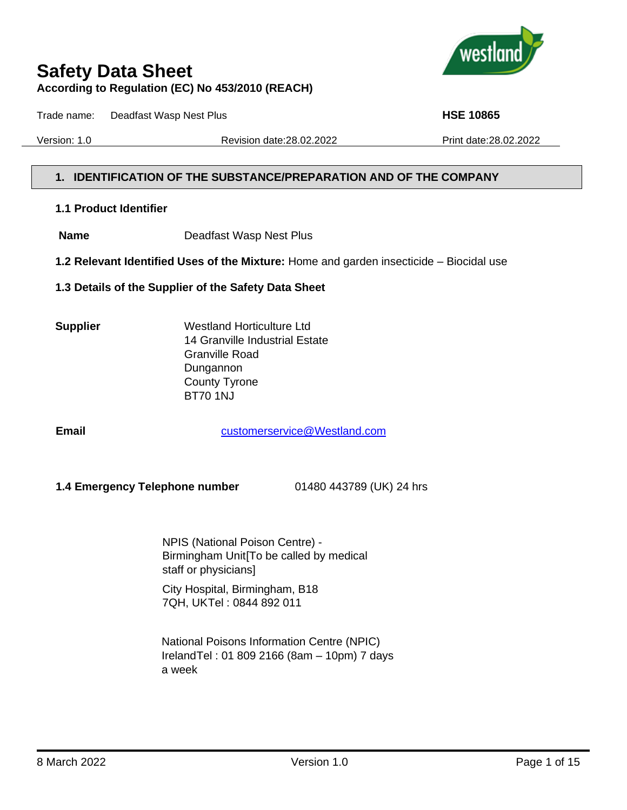

Trade name: Deadfast Wasp Nest Plus **HSE 10865**

Version: 1.0 Revision date:28.02.2022 Print date:28.02.2022

#### **1. IDENTIFICATION OF THE SUBSTANCE/PREPARATION AND OF THE COMPANY**

#### **1.1 Product Identifier**

- **Name** Deadfast Wasp Nest Plus
- **1.2 Relevant Identified Uses of the Mixture:** Home and garden insecticide Biocidal use
- **1.3 Details of the Supplier of the Safety Data Sheet**
- 

**Supplier** Westland Horticulture Ltd 14 Granville Industrial Estate Granville Road Dungannon County Tyrone BT70 1NJ

**Email Email** [customerservice@Westland.com](mailto:customerservice@Westland.com)

 **1.4 Emergency Telephone number** 01480 443789 (UK) 24 hrs

NPIS (National Poison Centre) - Birmingham Unit[To be called by medical staff or physicians]

City Hospital, Birmingham, B18 7QH, UKTel : 0844 892 011

National Poisons Information Centre (NPIC) IrelandTel : 01 809 2166 (8am – 10pm) 7 days a week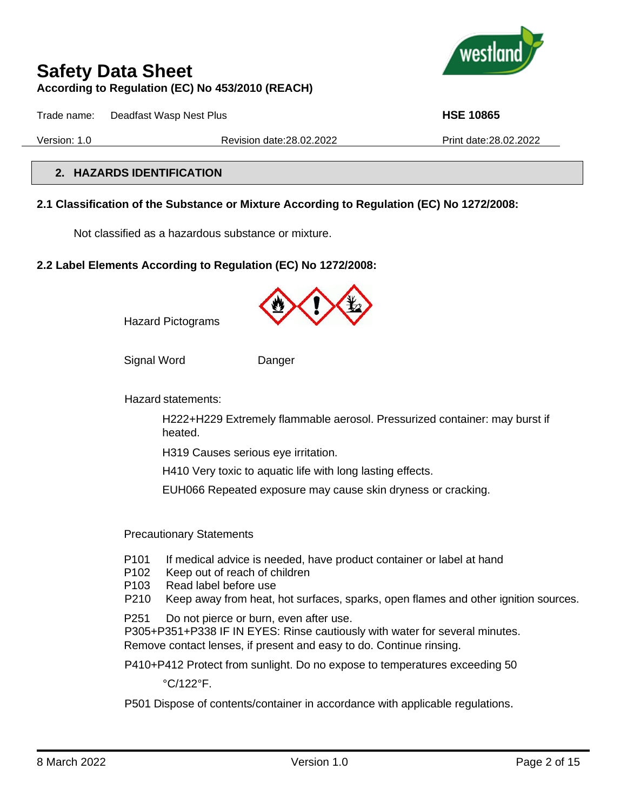

Trade name: Deadfast Wasp Nest Plus **HSE 10865**

Version: 1.0 Revision date:28.02.2022 Print date:28.02.2022

## **2. HAZARDS IDENTIFICATION**

#### **2.1 Classification of the Substance or Mixture According to Regulation (EC) No 1272/2008:**

Not classified as a hazardous substance or mixture.

#### **2.2 Label Elements According to Regulation (EC) No 1272/2008:**



Hazard Pictograms

Signal Word Danger

Hazard statements:

H222+H229 Extremely flammable aerosol. Pressurized container: may burst if heated.

H319 Causes serious eye irritation.

H410 Very toxic to aquatic life with long lasting effects.

EUH066 Repeated exposure may cause skin dryness or cracking.

Precautionary Statements

- P101 If medical advice is needed, have product container or label at hand
- P102 Keep out of reach of children
- P103 Read label before use
- P210 Keep away from heat, hot surfaces, sparks, open flames and other ignition sources.
- P251 Do not pierce or burn, even after use.

P305+P351+P338 IF IN EYES: Rinse cautiously with water for several minutes. Remove contact lenses, if present and easy to do. Continue rinsing.

P410+P412 Protect from sunlight. Do no expose to temperatures exceeding 50

°C/122°F.

P501 Dispose of contents/container in accordance with applicable regulations.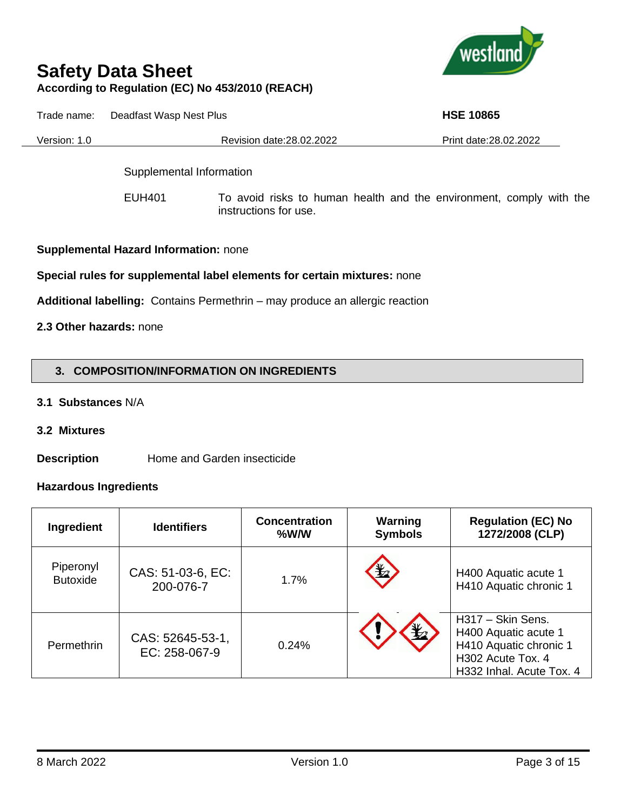

Trade name: Deadfast Wasp Nest Plus **HSE 10865 HSE 10865** 

Version: 1.0 Revision date:28.02.2022 Print date:28.02.2022

Supplemental Information

EUH401 To avoid risks to human health and the environment, comply with the instructions for use.

**Supplemental Hazard Information:** none

#### **Special rules for supplemental label elements for certain mixtures:** none

**Additional labelling:** Contains Permethrin – may produce an allergic reaction

## **2.3 Other hazards:** none

## **3. COMPOSITION/INFORMATION ON INGREDIENTS**

- **3.1 Substances** N/A
- **3.2 Mixtures**

**Description** Home and Garden insecticide

#### **Hazardous Ingredients**

| Ingredient                   | <b>Identifiers</b>                | <b>Concentration</b><br>%W/W | Warning<br><b>Symbols</b> | <b>Regulation (EC) No</b><br>1272/2008 (CLP)                                                                         |
|------------------------------|-----------------------------------|------------------------------|---------------------------|----------------------------------------------------------------------------------------------------------------------|
| Piperonyl<br><b>Butoxide</b> | CAS: 51-03-6, EC:<br>200-076-7    | 1.7%                         | $\frac{1}{2}$             | H400 Aquatic acute 1<br>H410 Aquatic chronic 1                                                                       |
| Permethrin                   | CAS: 52645-53-1,<br>EC: 258-067-9 | 0.24%                        |                           | H317 - Skin Sens.<br>H400 Aquatic acute 1<br>H410 Aquatic chronic 1<br>H302 Acute Tox. 4<br>H332 Inhal. Acute Tox. 4 |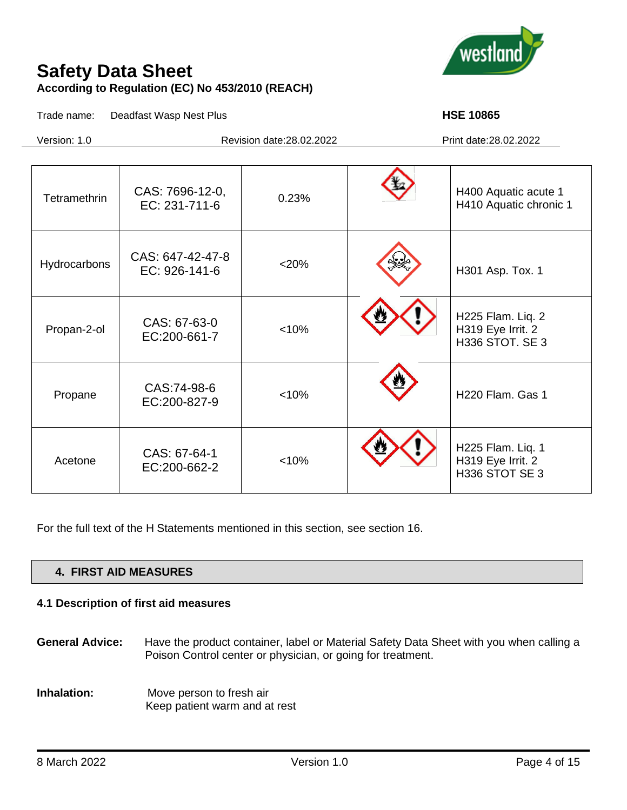

Trade name: Deadfast Wasp Nest Plus **HSE 10865 HSE 10865** 

Version: 1.0 Revision date:28.02.2022 Print date:28.02.2022

| Tetramethrin | CAS: 7696-12-0,<br>EC: 231-711-6  | 0.23%   | H400 Aquatic acute 1<br>H410 Aquatic chronic 1                   |
|--------------|-----------------------------------|---------|------------------------------------------------------------------|
|              |                                   |         |                                                                  |
| Hydrocarbons | CAS: 647-42-47-8<br>EC: 926-141-6 | $<$ 20% | H301 Asp. Tox. 1                                                 |
| Propan-2-ol  | CAS: 67-63-0<br>EC:200-661-7      | < 10%   | H225 Flam. Liq. 2<br>H319 Eye Irrit. 2<br><b>H336 STOT. SE 3</b> |
| Propane      | CAS:74-98-6<br>EC:200-827-9       | < 10%   | H220 Flam. Gas 1                                                 |
| Acetone      | CAS: 67-64-1<br>EC:200-662-2      | < 10%   | H225 Flam. Liq. 1<br>H319 Eye Irrit. 2<br>H336 STOT SE 3         |

For the full text of the H Statements mentioned in this section, see section 16.

## **4. FIRST AID MEASURES**

# **4.1 Description of first aid measures**

- **General Advice:** Have the product container, label or Material Safety Data Sheet with you when calling a Poison Control center or physician, or going for treatment.
- **Inhalation:** Move person to fresh air Keep patient warm and at rest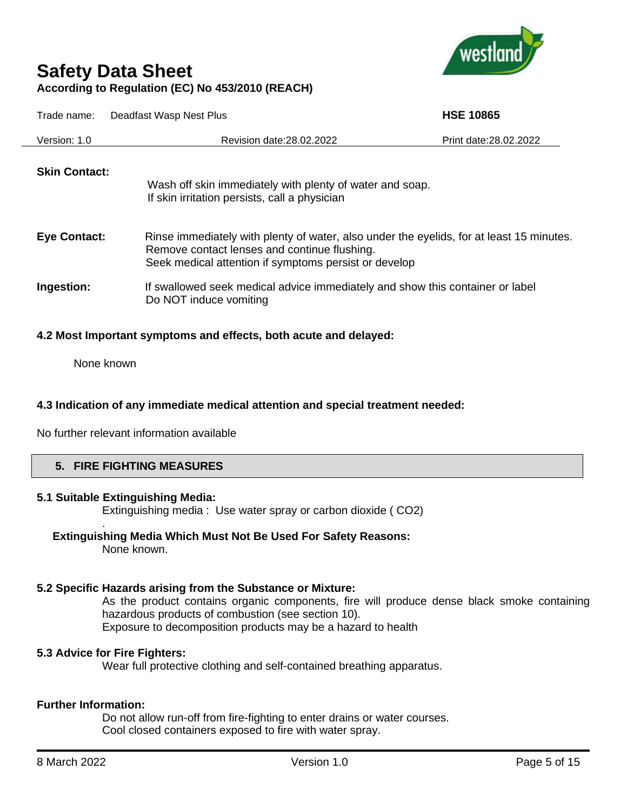

| Trade name:          | Deadfast Wasp Nest Plus                                                                                                                                                                           | <b>HSE 10865</b>       |
|----------------------|---------------------------------------------------------------------------------------------------------------------------------------------------------------------------------------------------|------------------------|
| Version: 1.0         | Revision date: 28.02.2022                                                                                                                                                                         | Print date: 28.02.2022 |
| <b>Skin Contact:</b> | Wash off skin immediately with plenty of water and soap.<br>If skin irritation persists, call a physician                                                                                         |                        |
| <b>Eye Contact:</b>  | Rinse immediately with plenty of water, also under the eyelids, for at least 15 minutes.<br>Remove contact lenses and continue flushing.<br>Seek medical attention if symptoms persist or develop |                        |
| Ingestion:           | If swallowed seek medical advice immediately and show this container or label<br>Do NOT induce vomiting                                                                                           |                        |

#### **4.2 Most Important symptoms and effects, both acute and delayed:**

None known

#### **4.3 Indication of any immediate medical attention and special treatment needed:**

No further relevant information available

#### **5. FIRE FIGHTING MEASURES**

#### **5.1 Suitable Extinguishing Media:**

.

Extinguishing media :Use water spray or carbon dioxide ( CO2)

#### **Extinguishing Media Which Must Not Be Used For Safety Reasons:**

None known.

# **5.2 Specific Hazards arising from the Substance or Mixture:**

As the product contains organic components, fire will produce dense black smoke containing hazardous products of combustion (see section 10). Exposure to decomposition products may be a hazard to health

## **5.3 Advice for Fire Fighters:**

Wear full protective clothing and self-contained breathing apparatus.

# **Further Information:**

Do not allow run-off from fire-fighting to enter drains or water courses. Cool closed containers exposed to fire with water spray.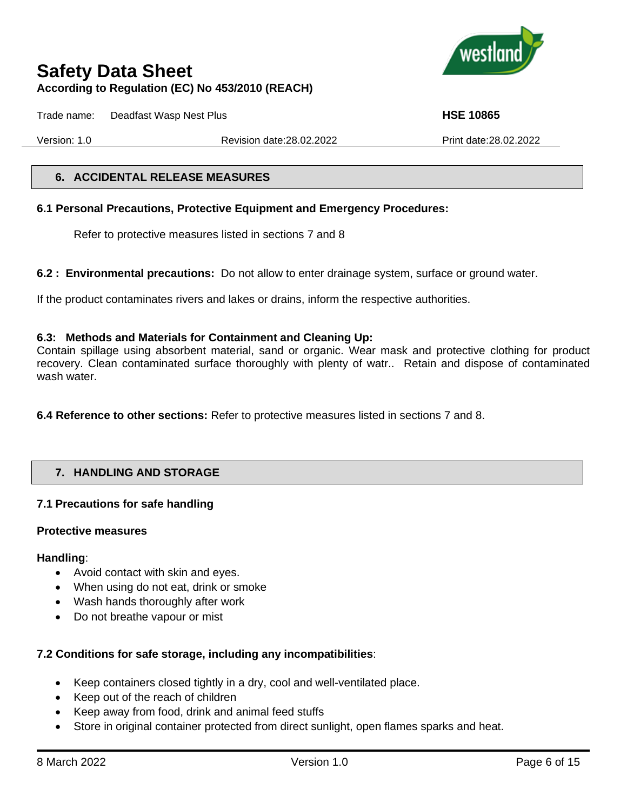

Trade name: Deadfast Wasp Nest Plus **HSE 10865 HSE 10865** 

Version: 1.0 Revision date:28.02.2022 Print date:28.02.2022

#### **6. ACCIDENTAL RELEASE MEASURES**

## **6.1 Personal Precautions, Protective Equipment and Emergency Procedures:**

Refer to protective measures listed in sections 7 and 8

**6.2 : Environmental precautions:** Do not allow to enter drainage system, surface or ground water.

If the product contaminates rivers and lakes or drains, inform the respective authorities.

## **6.3: Methods and Materials for Containment and Cleaning Up:**

Contain spillage using absorbent material, sand or organic. Wear mask and protective clothing for product recovery. Clean contaminated surface thoroughly with plenty of watr.. Retain and dispose of contaminated wash water.

**6.4 Reference to other sections:** Refer to protective measures listed in sections 7 and 8.

# **7. HANDLING AND STORAGE**

## **7.1 Precautions for safe handling**

## **Protective measures**

## **Handling**:

- Avoid contact with skin and eyes.
- When using do not eat, drink or smoke
- Wash hands thoroughly after work
- Do not breathe vapour or mist

# **7.2 Conditions for safe storage, including any incompatibilities**:

- Keep containers closed tightly in a dry, cool and well-ventilated place.
- Keep out of the reach of children
- Keep away from food, drink and animal feed stuffs
- Store in original container protected from direct sunlight, open flames sparks and heat.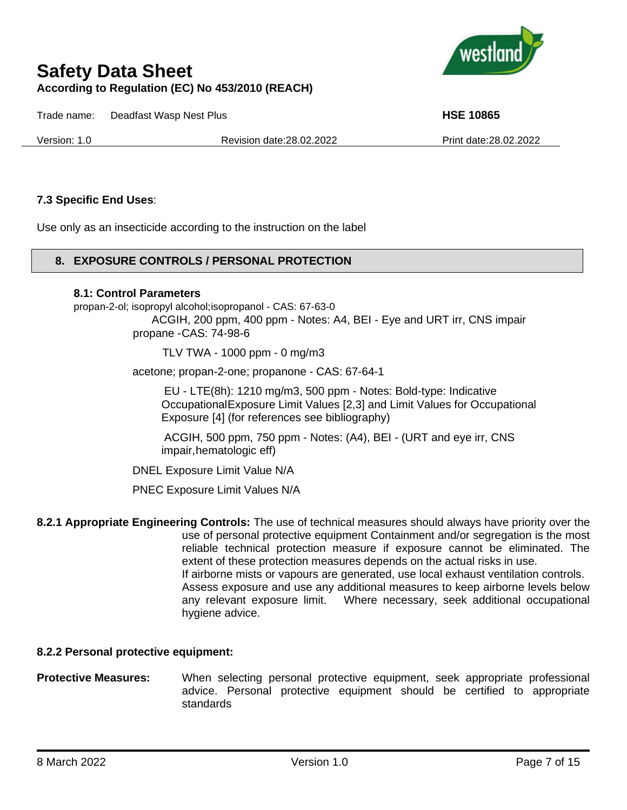

Trade name: Deadfast Wasp Nest Plus **HSE 10865**

Version: 1.0 Revision date:28.02.2022 Print date:28.02.2022

### **7.3 Specific End Uses**:

Use only as an insecticide according to the instruction on the label

#### **8. EXPOSURE CONTROLS / PERSONAL PROTECTION**

#### **8.1: Control Parameters**

propan-2-ol; isopropyl alcohol;isopropanol - CAS: 67-63-0

ACGIH, 200 ppm, 400 ppm - Notes: A4, BEI - Eye and URT irr, CNS impair propane -CAS: 74-98-6

TLV TWA - 1000 ppm - 0 mg/m3

acetone; propan-2-one; propanone - CAS: 67-64-1

EU - LTE(8h): 1210 mg/m3, 500 ppm - Notes: Bold-type: Indicative OccupationalExposure Limit Values [2,3] and Limit Values for Occupational Exposure [4] (for references see bibliography)

ACGIH, 500 ppm, 750 ppm - Notes: (A4), BEI - (URT and eye irr, CNS impair,hematologic eff)

DNEL Exposure Limit Value N/A

PNEC Exposure Limit Values N/A

**8.2.1 Appropriate Engineering Controls:** The use of technical measures should always have priority over the use of personal protective equipment Containment and/or segregation is the most reliable technical protection measure if exposure cannot be eliminated. The extent of these protection measures depends on the actual risks in use. If airborne mists or vapours are generated, use local exhaust ventilation controls. Assess exposure and use any additional measures to keep airborne levels below any relevant exposure limit. Where necessary, seek additional occupational hygiene advice.

#### **8.2.2 Personal protective equipment:**

**Protective Measures:** When selecting personal protective equipment, seek appropriate professional advice. Personal protective equipment should be certified to appropriate standards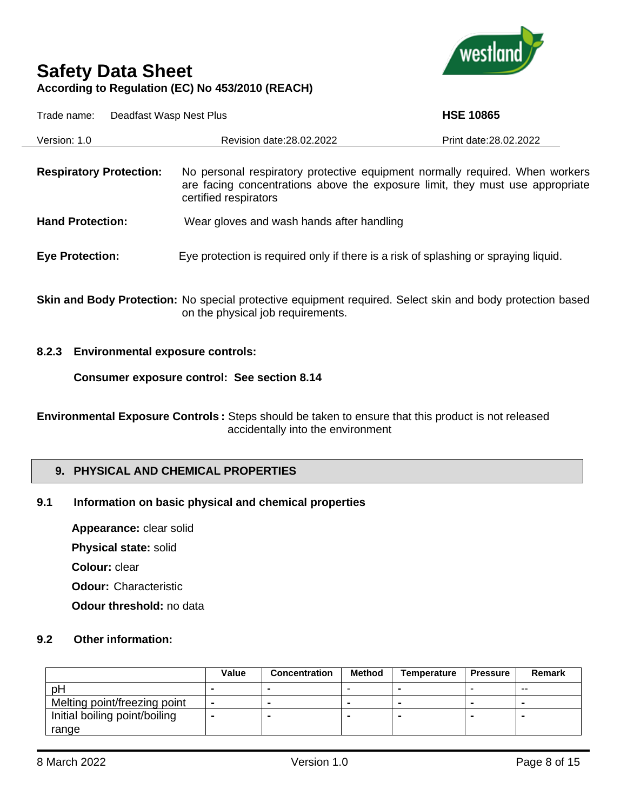

| Trade name:<br>Deadfast Wasp Nest Plus |                                                                                                                                                                                        | <b>HSE 10865</b>       |  |  |
|----------------------------------------|----------------------------------------------------------------------------------------------------------------------------------------------------------------------------------------|------------------------|--|--|
| Version: 1.0                           | Revision date: 28.02.2022                                                                                                                                                              | Print date: 28.02.2022 |  |  |
| <b>Respiratory Protection:</b>         | No personal respiratory protective equipment normally required. When workers<br>are facing concentrations above the exposure limit, they must use appropriate<br>certified respirators |                        |  |  |
| <b>Hand Protection:</b>                | Wear gloves and wash hands after handling                                                                                                                                              |                        |  |  |
| <b>Eye Protection:</b>                 | Eye protection is required only if there is a risk of splashing or spraying liquid.                                                                                                    |                        |  |  |

**Skin and Body Protection:** No special protective equipment required. Select skin and body protection based on the physical job requirements.

#### **8.2.3 Environmental exposure controls:**

**Consumer exposure control: See section 8.14**

**Environmental Exposure Controls :** Steps should be taken to ensure that this product is not released accidentally into the environment

#### **9. PHYSICAL AND CHEMICAL PROPERTIES**

#### **9.1 Information on basic physical and chemical properties**

**Appearance:** clear solid **Physical state:** solid

**Colour:** clear

**Odour:** Characteristic

**Odour threshold:** no data

#### **9.2 Other information:**

|                               | Value          | <b>Concentration</b> | <b>Method</b> | Temperature | <b>Pressure</b> | <b>Remark</b>  |
|-------------------------------|----------------|----------------------|---------------|-------------|-----------------|----------------|
| pH                            |                |                      |               |             | -               | $- -$          |
| Melting point/freezing point  | $\blacksquare$ | $\sim$               | . .           | -           | -               |                |
| Initial boiling point/boiling | -              |                      |               |             |                 | $\blacksquare$ |
| range                         |                |                      |               |             |                 |                |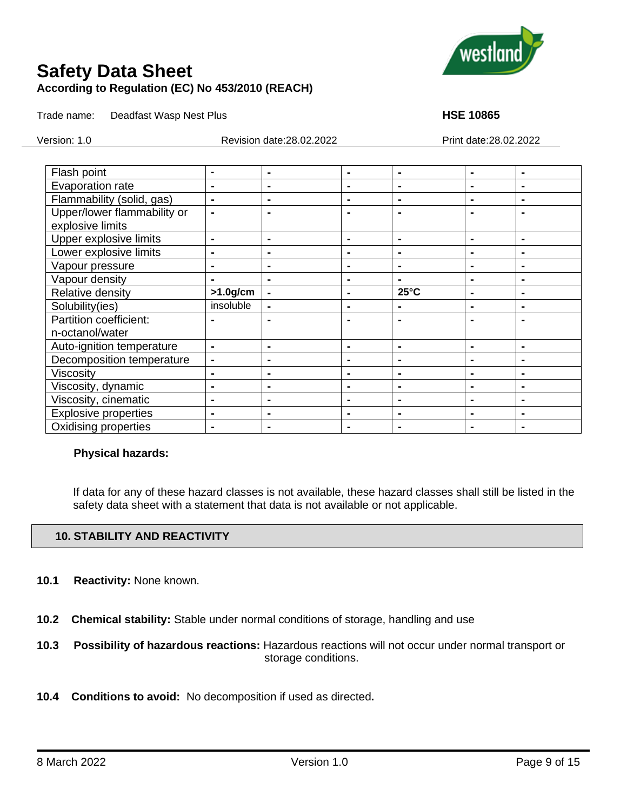

Trade name: Deadfast Wasp Nest Plus **HSE 10865 HSE 10865** 

Version: 1.0 Revision date:28.02.2022 Print date:28.02.2022

| Flash point                 | $\blacksquare$ | $\blacksquare$ | $\blacksquare$ | ۰              | $\blacksquare$ | $\blacksquare$ |
|-----------------------------|----------------|----------------|----------------|----------------|----------------|----------------|
| Evaporation rate            | $\blacksquare$ | $\blacksquare$ | $\blacksquare$ | $\blacksquare$ | $\blacksquare$ | $\blacksquare$ |
| Flammability (solid, gas)   | $\blacksquare$ | $\blacksquare$ |                | $\blacksquare$ | $\blacksquare$ | $\blacksquare$ |
| Upper/lower flammability or |                |                |                |                |                | $\blacksquare$ |
| explosive limits            |                |                |                |                |                |                |
| Upper explosive limits      | $\blacksquare$ | $\blacksquare$ | $\blacksquare$ | $\blacksquare$ | $\blacksquare$ | -              |
| Lower explosive limits      | $\blacksquare$ |                | $\blacksquare$ | ۰              | $\blacksquare$ | $\blacksquare$ |
| Vapour pressure             | $\blacksquare$ | $\blacksquare$ | ۰              | $\blacksquare$ | $\blacksquare$ | $\blacksquare$ |
| Vapour density              | $\blacksquare$ | $\blacksquare$ | $\blacksquare$ | $\blacksquare$ | $\blacksquare$ | $\blacksquare$ |
| Relative density            | $>1.0$ g/cm    |                | $\blacksquare$ | $25^{\circ}$ C | $\blacksquare$ | $\blacksquare$ |
| Solubility(ies)             | insoluble      | $\blacksquare$ | $\blacksquare$ | $\blacksquare$ | $\blacksquare$ | $\blacksquare$ |
| Partition coefficient:      |                |                |                |                |                |                |
| n-octanol/water             |                |                |                |                |                |                |
| Auto-ignition temperature   | $\blacksquare$ | $\blacksquare$ | $\blacksquare$ | $\blacksquare$ | $\blacksquare$ | $\blacksquare$ |
| Decomposition temperature   | $\blacksquare$ |                | $\blacksquare$ | ۰              | $\blacksquare$ | ۰              |
| <b>Viscosity</b>            | $\blacksquare$ | $\blacksquare$ | $\blacksquare$ | $\blacksquare$ | $\blacksquare$ | $\blacksquare$ |
| Viscosity, dynamic          | $\blacksquare$ | $\blacksquare$ | $\blacksquare$ | $\blacksquare$ | $\blacksquare$ | $\blacksquare$ |
| Viscosity, cinematic        | $\blacksquare$ |                | $\blacksquare$ | ۰              |                | $\blacksquare$ |
| <b>Explosive properties</b> | $\blacksquare$ |                | $\blacksquare$ |                | $\blacksquare$ | -              |
| <b>Oxidising properties</b> | $\blacksquare$ | $\blacksquare$ | $\blacksquare$ | $\blacksquare$ | $\blacksquare$ | $\blacksquare$ |

#### **Physical hazards:**

If data for any of these hazard classes is not available, these hazard classes shall still be listed in the safety data sheet with a statement that data is not available or not applicable.

## **10. STABILITY AND REACTIVITY**

- **10.1 Reactivity:** None known.
- **10.2 Chemical stability:** Stable under normal conditions of storage, handling and use
- **10.3 Possibility of hazardous reactions:** Hazardous reactions will not occur under normal transport or storage conditions.
- **10.4 Conditions to avoid:** No decomposition if used as directed**.**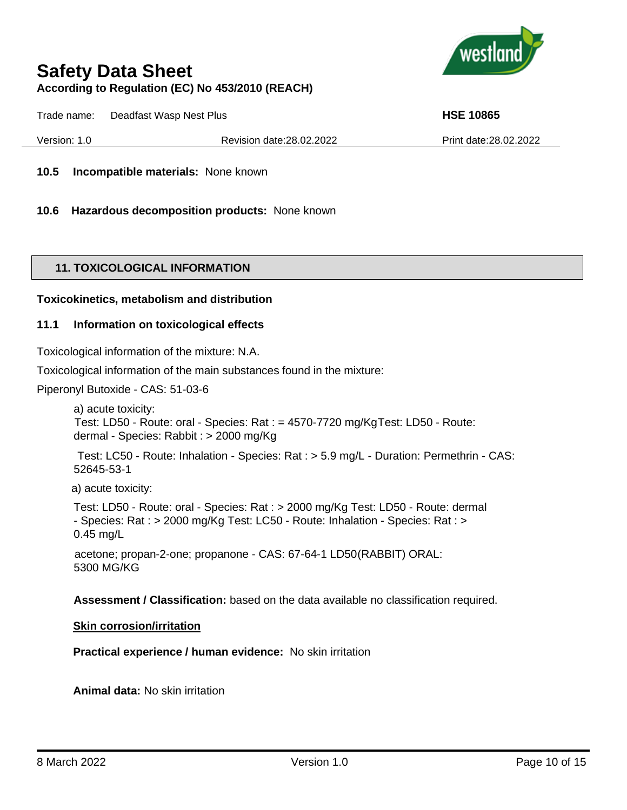

Trade name: Deadfast Wasp Nest Plus **HSE 10865 HSE 10865** 

Version: 1.0 Revision date:28.02.2022 Print date:28.02.2022

**10.5 Incompatible materials:** None known

**10.6 Hazardous decomposition products:** None known

#### **11. TOXICOLOGICAL INFORMATION**

#### **Toxicokinetics, metabolism and distribution**

#### **11.1 Information on toxicological effects**

Toxicological information of the mixture: N.A.

Toxicological information of the main substances found in the mixture:

Piperonyl Butoxide - CAS: 51-03-6

a) acute toxicity: Test: LD50 - Route: oral - Species: Rat : = 4570-7720 mg/KgTest: LD50 - Route: dermal - Species: Rabbit : > 2000 mg/Kg

Test: LC50 - Route: Inhalation - Species: Rat : > 5.9 mg/L - Duration: Permethrin - CAS: 52645-53-1

a) acute toxicity:

Test: LD50 - Route: oral - Species: Rat : > 2000 mg/Kg Test: LD50 - Route: dermal - Species: Rat : > 2000 mg/Kg Test: LC50 - Route: Inhalation - Species: Rat : > 0.45 mg/L

acetone; propan-2-one; propanone - CAS: 67-64-1 LD50(RABBIT) ORAL: 5300 MG/KG

**Assessment / Classification:** based on the data available no classification required.

#### **Skin corrosion/irritation**

**Practical experience / human evidence:** No skin irritation

**Animal data:** No skin irritation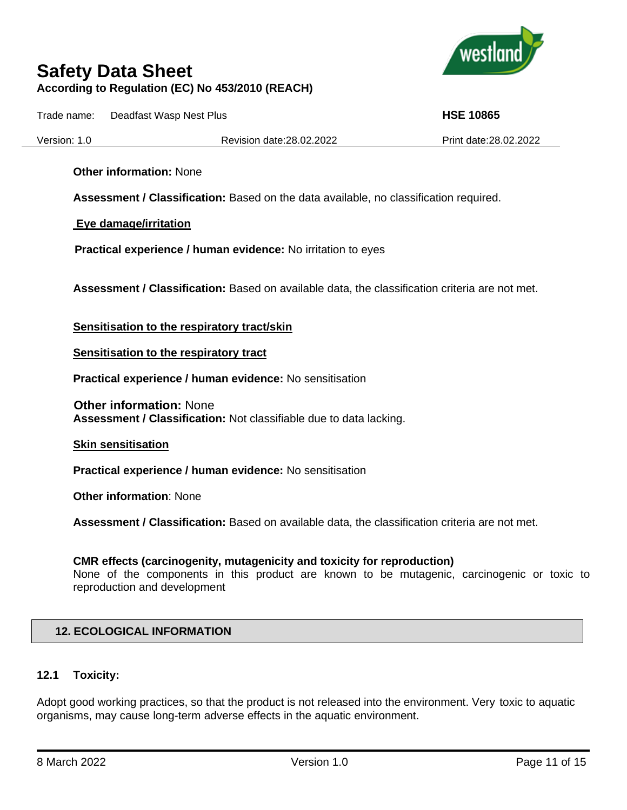

Trade name: Deadfast Wasp Nest Plus **HSE 10865**

Version: 1.0 Revision date:28.02.2022 Print date:28.02.2022

**Other information:** None

**Assessment / Classification:** Based on the data available, no classification required.

**Eye damage/irritation**

 **Practical experience / human evidence:** No irritation to eyes

**Assessment / Classification:** Based on available data, the classification criteria are not met.

**Sensitisation to the respiratory tract/skin**

**Sensitisation to the respiratory tract**

**Practical experience / human evidence:** No sensitisation

**Other information:** None **Assessment / Classification:** Not classifiable due to data lacking.

**Skin sensitisation**

**Practical experience / human evidence:** No sensitisation

**Other information**: None

**Assessment / Classification:** Based on available data, the classification criteria are not met.

#### **CMR effects (carcinogenity, mutagenicity and toxicity for reproduction)**

None of the components in this product are known to be mutagenic, carcinogenic or toxic to reproduction and development

#### **12. ECOLOGICAL INFORMATION**

#### **12.1 Toxicity:**

Adopt good working practices, so that the product is not released into the environment. Very toxic to aquatic organisms, may cause long-term adverse effects in the aquatic environment.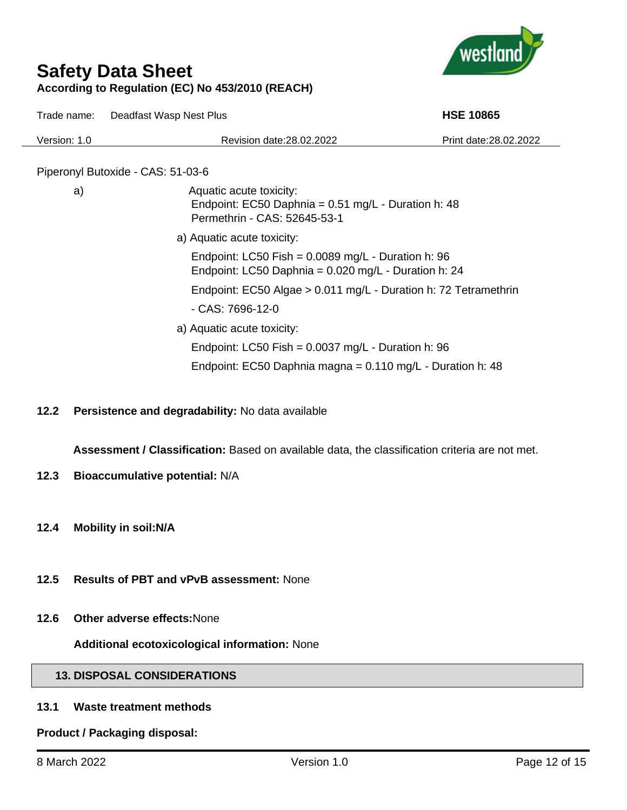

Trade name: Deadfast Wasp Nest Plus **HSE 10865 HSE 10865** 

| Version: 1.0                      | Revision date: 28.02.2022                                                                                        | Print date: 28.02.2022 |
|-----------------------------------|------------------------------------------------------------------------------------------------------------------|------------------------|
| Piperonyl Butoxide - CAS: 51-03-6 |                                                                                                                  |                        |
| a)                                | Aquatic acute toxicity:<br>Endpoint: EC50 Daphnia = $0.51$ mg/L - Duration h: 48<br>Permethrin - CAS: 52645-53-1 |                        |
|                                   | a) Aquatic acute toxicity:                                                                                       |                        |
|                                   | Endpoint: LC50 Fish = $0.0089$ mg/L - Duration h: 96<br>Endpoint: LC50 Daphnia = $0.020$ mg/L - Duration h: 24   |                        |
|                                   | Endpoint: EC50 Algae > 0.011 mg/L - Duration h: 72 Tetramethrin                                                  |                        |
|                                   | - CAS: 7696-12-0                                                                                                 |                        |
|                                   | a) Aquatic acute toxicity:                                                                                       |                        |
|                                   | Endpoint: LC50 Fish = $0.0037$ mg/L - Duration h: 96                                                             |                        |
|                                   | Endpoint: EC50 Daphnia magna = $0.110$ mg/L - Duration h: 48                                                     |                        |

**12.2 Persistence and degradability:** No data available

**Assessment / Classification:** Based on available data, the classification criteria are not met.

- **12.3 Bioaccumulative potential:** N/A
- **12.4 Mobility in soil:N/A**
- **12.5 Results of PBT and vPvB assessment:** None
- **12.6 Other adverse effects:**None

**Additional ecotoxicological information:** None

## **13. DISPOSAL CONSIDERATIONS**

## **13.1 Waste treatment methods**

**Product / Packaging disposal:**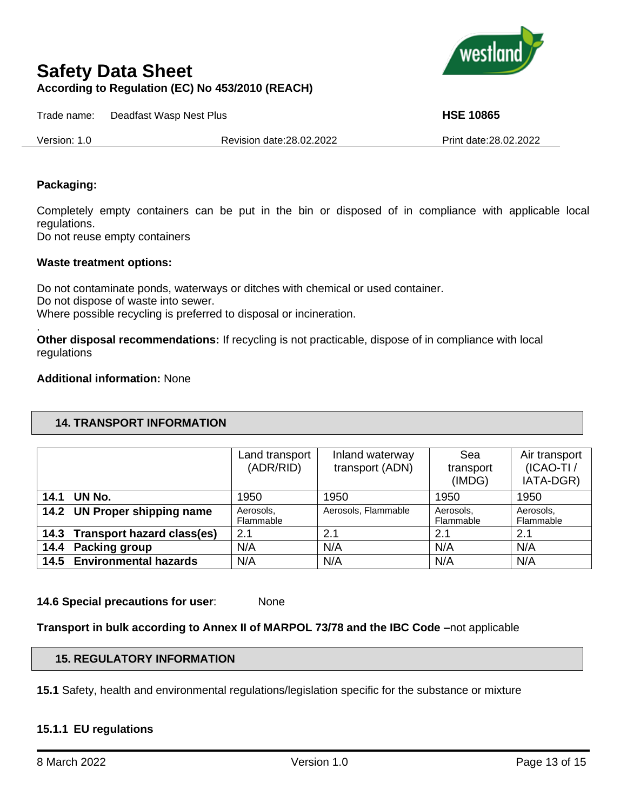

Trade name: Deadfast Wasp Nest Plus **HSE 10865**

Version: 1.0 Revision date:28.02.2022 Print date:28.02.2022

#### **Packaging:**

Completely empty containers can be put in the bin or disposed of in compliance with applicable local regulations.

Do not reuse empty containers

#### **Waste treatment options:**

Do not contaminate ponds, waterways or ditches with chemical or used container. Do not dispose of waste into sewer. Where possible recycling is preferred to disposal or incineration. .

**Other disposal recommendations:** If recycling is not practicable, dispose of in compliance with local regulations

#### **Additional information:** None

#### **14. TRANSPORT INFORMATION**

|                                 | Land transport<br>(ADR/RID) | Inland waterway<br>transport (ADN) | Sea<br>transport<br>(IMDG) | Air transport<br>$(ICAO-TI)$<br>IATA-DGR) |
|---------------------------------|-----------------------------|------------------------------------|----------------------------|-------------------------------------------|
| 14.1 UN No.                     | 1950                        | 1950                               | 1950                       | 1950                                      |
| 14.2 UN Proper shipping name    | Aerosols,<br>Flammable      | Aerosols, Flammable                | Aerosols,<br>Flammable     | Aerosols,<br>Flammable                    |
| 14.3 Transport hazard class(es) | 2.1                         | 2.1                                | 2.1                        | 2.1                                       |
| 14.4 Packing group              | N/A                         | N/A                                | N/A                        | N/A                                       |
| 14.5 Environmental hazards      | N/A                         | N/A                                | N/A                        | N/A                                       |

**14.6 Special precautions for user**: None

**Transport in bulk according to Annex II of MARPOL 73/78 and the IBC Code –**not applicable

#### **15. REGULATORY INFORMATION**

**15.1** Safety, health and environmental regulations/legislation specific for the substance or mixture

#### **15.1.1 EU regulations**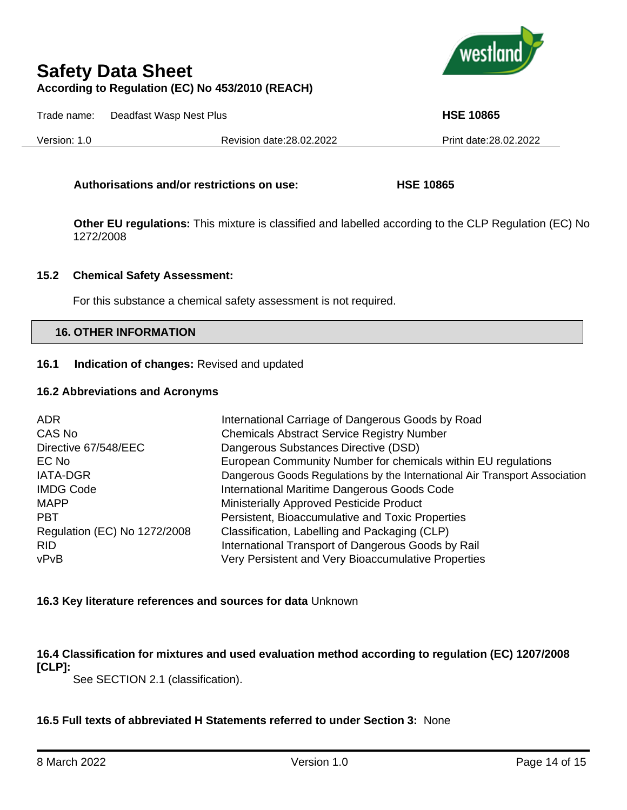

Trade name: Deadfast Wasp Nest Plus **HSE 10865**

Version: 1.0 Revision date:28.02.2022 Print date:28.02.2022

#### **Authorisations and/or restrictions on use: HSE 10865**

**Other EU regulations:** This mixture is classified and labelled according to the CLP Regulation (EC) No 1272/2008

#### **15.2 Chemical Safety Assessment:**

For this substance a chemical safety assessment is not required.

#### **16. OTHER INFORMATION**

#### **16.1 Indication of changes:** Revised and updated

#### **16.2 Abbreviations and Acronyms**

| ADR.                         | International Carriage of Dangerous Goods by Road                          |
|------------------------------|----------------------------------------------------------------------------|
| CAS No                       | <b>Chemicals Abstract Service Registry Number</b>                          |
| Directive 67/548/EEC         | Dangerous Substances Directive (DSD)                                       |
| EC No                        | European Community Number for chemicals within EU regulations              |
| <b>IATA-DGR</b>              | Dangerous Goods Regulations by the International Air Transport Association |
| <b>IMDG Code</b>             | International Maritime Dangerous Goods Code                                |
| <b>MAPP</b>                  | Ministerially Approved Pesticide Product                                   |
| <b>PBT</b>                   | Persistent, Bioaccumulative and Toxic Properties                           |
| Regulation (EC) No 1272/2008 | Classification, Labelling and Packaging (CLP)                              |
| <b>RID</b>                   | International Transport of Dangerous Goods by Rail                         |
| vPvB                         | Very Persistent and Very Bioaccumulative Properties                        |

#### **16.3 Key literature references and sources for data** Unknown

**16.4 Classification for mixtures and used evaluation method according to regulation (EC) 1207/2008 [CLP]:**

See SECTION 2.1 (classification).

#### **16.5 Full texts of abbreviated H Statements referred to under Section 3:** None